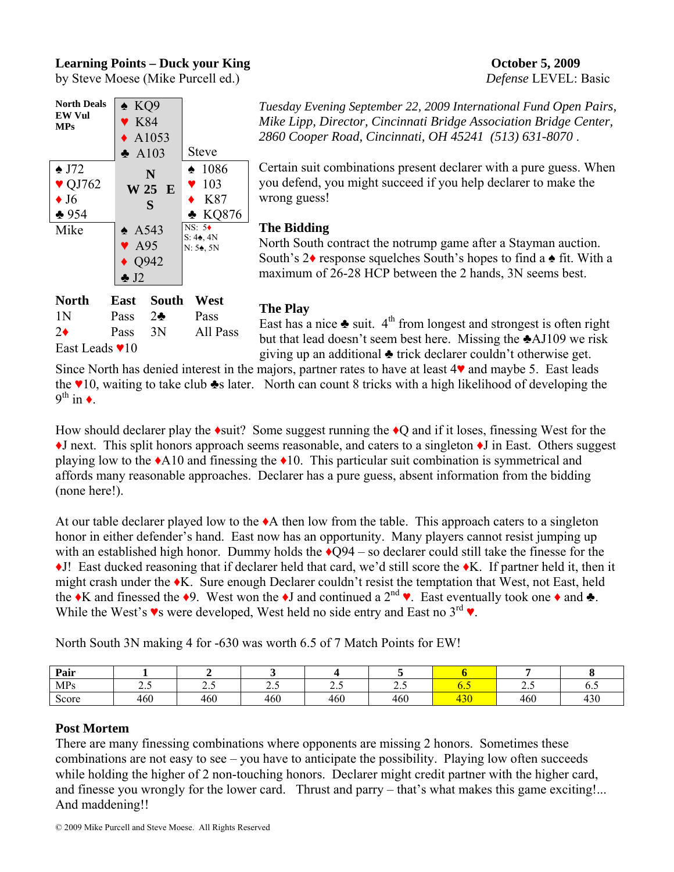# **Learning Points – Duck your King Community Community Community Community Community Community Community Community Community Community Community Community Community Community Community Community Community Community Communit**

by Steve Moese (Mike Purcell ed.) *Defense* LEVEL: Basic



**North East South West**  1N Pass 2♣ Pass 2♦ Pass 3N All Pass East Leads ♥10

*Tuesday Evening September 22, 2009 International Fund Open Pairs, Mike Lipp, Director, Cincinnati Bridge Association Bridge Center, 2860 Cooper Road, Cincinnati, OH 45241 (513) 631-8070* .

Certain suit combinations present declarer with a pure guess. When you defend, you might succeed if you help declarer to make the wrong guess!

# **The Bidding**

North South contract the notrump game after a Stayman auction. South's 2♦ response squelches South's hopes to find a ♠ fit. With a maximum of 26-28 HCP between the 2 hands, 3N seems best.

**The Play**  East has a nice  $\triangle$  suit.  $4^{\text{th}}$  from longest and strongest is often right but that lead doesn't seem best here. Missing the ♣AJ109 we risk giving up an additional ♣ trick declarer couldn't otherwise get.

Since North has denied interest in the majors, partner rates to have at least 4♥ and maybe 5. East leads the  $\vee$ 10, waiting to take club  $\triangleq$ s later. North can count 8 tricks with a high likelihood of developing the  $9^{th}$  in  $\triangleleft$ .

How should declarer play the  $\triangleleft$ suit? Some suggest running the  $\triangleleft$ Q and if it loses, finessing West for the ♦J next. This split honors approach seems reasonable, and caters to a singleton ♦J in East. Others suggest playing low to the  $\triangle A10$  and finessing the  $\triangle 10$ . This particular suit combination is symmetrical and affords many reasonable approaches. Declarer has a pure guess, absent information from the bidding (none here!).

At our table declarer played low to the ♦A then low from the table. This approach caters to a singleton honor in either defender's hand. East now has an opportunity. Many players cannot resist jumping up with an established high honor. Dummy holds the  $\triangle$ O94 – so declarer could still take the finesse for the ♦J! East ducked reasoning that if declarer held that card, we'd still score the ♦K. If partner held it, then it might crash under the ♦K. Sure enough Declarer couldn't resist the temptation that West, not East, held the  $\bullet K$  and finessed the  $\bullet 9$ . West won the  $\bullet J$  and continued a  $2^{nd} \bullet$ . East eventually took one  $\bullet$  and  $\bullet$ . While the West's  $\bullet$ s were developed, West held no side entry and East no 3<sup>rd</sup> $\bullet$ .

North South 3N making 4 for -630 was worth 6.5 of 7 Match Points for EW!

| Pair       |     |     |                            |     |       |                                |                          |                           |
|------------|-----|-----|----------------------------|-----|-------|--------------------------------|--------------------------|---------------------------|
| <b>MPs</b> | ້⊷  | ں ۔ | $\overline{\phantom{m}}\,$ | ن ک | ں . ب |                                | $\overline{\phantom{a}}$ | $\mathbf{U}$ .            |
| Score      | 460 | 460 | 460                        | 460 | 460   | $\mathcal{D} \cap \mathcal{D}$ | 460                      | $\Lambda$ $\Omega$<br>430 |

### **Post Mortem**

There are many finessing combinations where opponents are missing 2 honors. Sometimes these combinations are not easy to see – you have to anticipate the possibility. Playing low often succeeds while holding the higher of 2 non-touching honors. Declarer might credit partner with the higher card, and finesse you wrongly for the lower card. Thrust and parry – that's what makes this game exciting!... And maddening!!